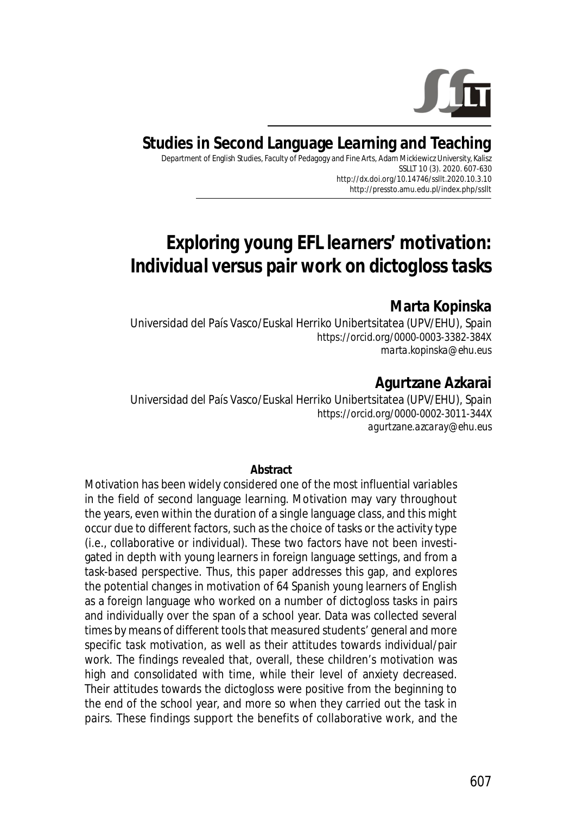

# **Studies in Second Language Learning and Teaching**

Department of English Studies, Faculty of Pedagogy and Fine Arts, Adam Mickiewicz University, Kalisz SSLLT 10 (3). 2020. 607-630 *http://dx.doi.org/10.14746/ssllt.2020.10.3.10* http://pressto.amu.edu.pl/index.php/ssllt

# *Exploring young EFL learners' motivation: Individual versus pair work on dictogloss tasks*

### **Marta Kopinska**

Universidad del País Vasco/Euskal Herriko Unibertsitatea (UPV/EHU), Spain https://orcid.org/0000-0003-3382-384X *marta.kopinska@ehu.eus*

# **Agurtzane Azkarai**

Universidad del País Vasco/Euskal Herriko Unibertsitatea (UPV/EHU), Spain https://orcid.org/0000-0002-3011-344X *agurtzane.azcaray@ehu.eus*

#### **Abstract**

Motivation has been widely considered one of the most influential variables in the field of second language learning. Motivation may vary throughout the years, even within the duration of a single language class, and this might occur due to different factors, such as the choice of tasks or the activity type (i.e., collaborative or individual). These two factors have not been investigated in depth with young learners in foreign language settings, and from a task-based perspective. Thus, this paper addresses this gap, and explores the potential changes in motivation of 64 Spanish young learners of English as a foreign language who worked on a number of dictogloss tasks in pairs and individually over the span of a school year. Data was collected several times by means of different tools that measured students' general and more specific task motivation, as well as their attitudes towards individual/pair work. The findings revealed that, overall, these children's motivation was high and consolidated with time, while their level of anxiety decreased. Their attitudes towards the dictogloss were positive from the beginning to the end of the school year, and more so when they carried out the task in pairs. These findings support the benefits of collaborative work, and the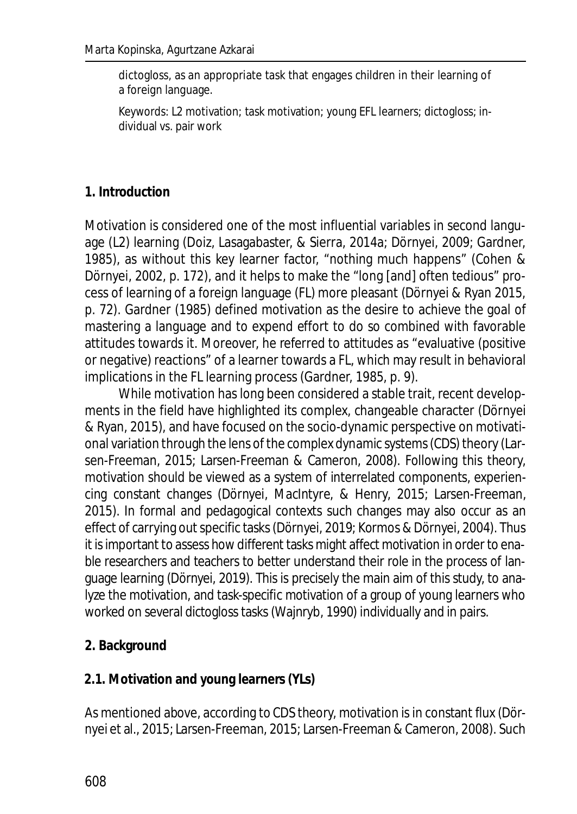dictogloss, as an appropriate task that engages children in their learning of a foreign language.

*Keywords*: L2 motivation; task motivation; young EFL learners; dictogloss; individual vs. pair work

#### **1. Introduction**

Motivation is considered one of the most influential variables in second language (L2) learning (Doiz, Lasagabaster, & Sierra, 2014a; Dörnyei, 2009; Gardner, 1985), as without this key learner factor, "nothing much happens" (Cohen & Dörnyei, 2002, p. 172), and it helps to make the "long [and] often tedious" process of learning of a foreign language (FL) more pleasant (Dörnyei & Ryan 2015, p. 72). Gardner (1985) defined motivation as the desire to achieve the goal of mastering a language and to expend effort to do so combined with favorable attitudes towards it. Moreover, he referred to attitudes as "evaluative (positive or negative) reactions" of a learner towards a FL, which may result in behavioral implications in the FL learning process (Gardner, 1985, p. 9).

While motivation has long been considered a stable trait, recent developments in the field have highlighted its complex, changeable character (Dörnyei & Ryan, 2015), and have focused on the socio-dynamic perspective on motivational variation through the lens of the complex dynamic systems (CDS) theory (Larsen-Freeman, 2015; Larsen-Freeman & Cameron, 2008). Following this theory, motivation should be viewed as a system of interrelated components, experiencing constant changes (Dörnyei, MacIntyre, & Henry, 2015; Larsen-Freeman, 2015). In formal and pedagogical contexts such changes may also occur as an effect of carrying out specific tasks (Dörnyei, 2019; Kormos & Dörnyei, 2004). Thus it is important to assess how different tasks might affect motivation in order to enable researchers and teachers to better understand their role in the process of language learning (Dörnyei, 2019). This is precisely the main aim of this study, to analyze the motivation, and task-specific motivation of a group of young learners who worked on several dictogloss tasks (Wajnryb, 1990) individually and in pairs.

**2. Background**

#### **2.1. Motivation and young learners (YLs)**

As mentioned above, according to CDS theory, motivation is in constant flux (Dörnyei et al., 2015; Larsen-Freeman, 2015; Larsen-Freeman & Cameron, 2008). Such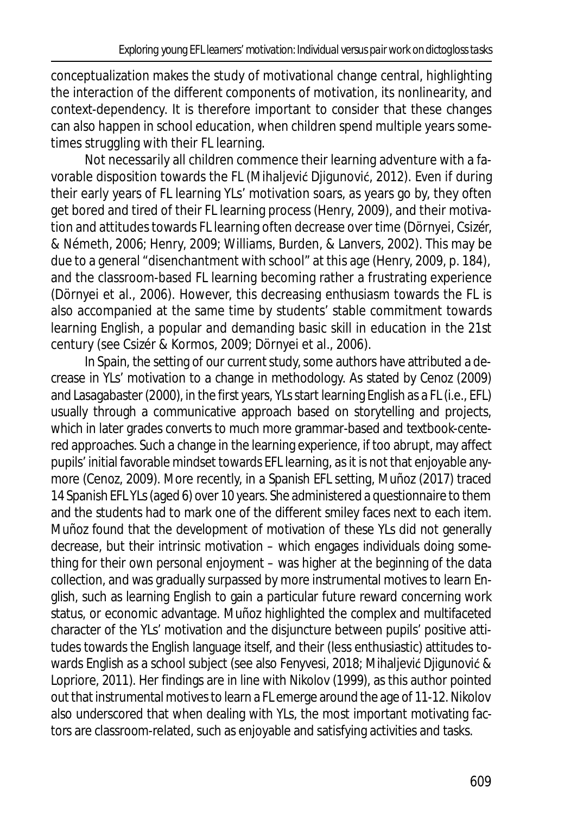conceptualization makes the study of motivational change central, highlighting the interaction of the different components of motivation, its nonlinearity, and context-dependency. It is therefore important to consider that these changes can also happen in school education, when children spend multiple years sometimes struggling with their FL learning.

Not necessarily all children commence their learning adventure with a favorable disposition towards the FL (Mihaljević Djigunović, 2012). Even if during their early years of FL learning YLs' motivation soars, as years go by, they often get bored and tired of their FL learning process (Henry, 2009), and their motivation and attitudes towards FL learning often decrease over time (Dörnyei, Csizér, & Németh, 2006; Henry, 2009; Williams, Burden, & Lanvers, 2002). This may be due to a general "disenchantment with school" at this age (Henry, 2009, p. 184), and the classroom-based FL learning becoming rather a frustrating experience (Dörnyei et al., 2006). However, this decreasing enthusiasm towards the FL is also accompanied at the same time by students' stable commitment towards learning English, a popular and demanding basic skill in education in the 21st century (see Csizér & Kormos, 2009; Dörnyei et al., 2006).

In Spain, the setting of our current study, some authors have attributed a decrease in YLs' motivation to a change in methodology. As stated by Cenoz (2009) and Lasagabaster (2000), in the first years, YLs start learning English as a FL (i.e., EFL) usually through a communicative approach based on storytelling and projects, which in later grades converts to much more grammar-based and textbook-centered approaches. Such a change in the learning experience, if too abrupt, may affect pupils' initial favorable mindset towards EFL learning, as it is not that enjoyable anymore (Cenoz, 2009). More recently, in a Spanish EFL setting, Muñoz (2017) traced 14 Spanish EFL YLs (aged 6) over 10 years. She administered a questionnaire to them and the students had to mark one of the different smiley faces next to each item. Muñoz found that the development of motivation of these YLs did not generally decrease, but their intrinsic motivation – which engages individuals doing something for their own personal enjoyment – was higher at the beginning of the data collection, and was gradually surpassed by more instrumental motives to learn English, such as learning English to gain a particular future reward concerning work status, or economic advantage. Muñoz highlighted the complex and multifaceted character of the YLs' motivation and the disjuncture between pupils' positive attitudes towards the English language itself, and their (less enthusiastic) attitudes towards English as a school subject (see also Fenyvesi, 2018; Mihaljević Djigunović & Lopriore, 2011). Her findings are in line with Nikolov (1999), as this author pointed out that instrumental motives to learn a FL emerge around the age of 11-12. Nikolov also underscored that when dealing with YLs, the most important motivating factors are classroom-related, such as enjoyable and satisfying activities and tasks.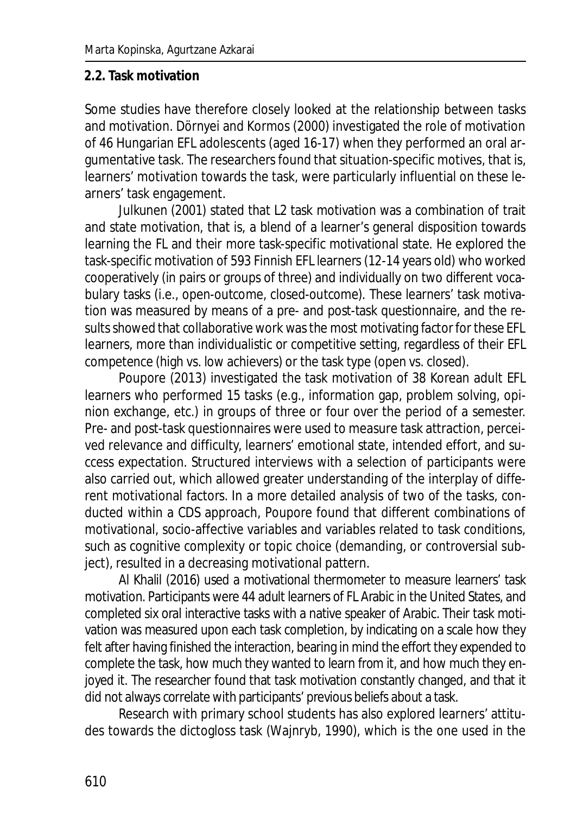#### **2.2. Task motivation**

Some studies have therefore closely looked at the relationship between tasks and motivation. Dörnyei and Kormos (2000) investigated the role of motivation of 46 Hungarian EFL adolescents (aged 16-17) when they performed an oral argumentative task. The researchers found that situation-specific motives, that is, learners' motivation towards the task, were particularly influential on these learners' task engagement.

Julkunen (2001) stated that L2 task motivation was a combination of trait and state motivation, that is, a blend of a learner's general disposition towards learning the FL and their more task-specific motivational state. He explored the task-specific motivation of 593 Finnish EFL learners (12-14 years old) who worked cooperatively (in pairs or groups of three) and individually on two different vocabulary tasks (i.e., open-outcome, closed-outcome). These learners' task motivation was measured by means of a pre- and post-task questionnaire, and the results showed that collaborative work was the most motivating factor for these EFL learners, more than individualistic or competitive setting, regardless of their EFL competence (high vs. low achievers) or the task type (open vs. closed).

Poupore (2013) investigated the task motivation of 38 Korean adult EFL learners who performed 15 tasks (e.g., information gap, problem solving, opinion exchange, etc.) in groups of three or four over the period of a semester. Pre- and post-task questionnaires were used to measure task attraction, perceived relevance and difficulty, learners' emotional state, intended effort, and success expectation. Structured interviews with a selection of participants were also carried out, which allowed greater understanding of the interplay of different motivational factors. In a more detailed analysis of two of the tasks, conducted within a CDS approach, Poupore found that different combinations of motivational, socio-affective variables and variables related to task conditions, such as cognitive complexity or topic choice (demanding, or controversial subject), resulted in a decreasing motivational pattern.

Al Khalil (2016) used a motivational thermometer to measure learners' task motivation. Participants were 44 adult learners of FL Arabic in the United States, and completed six oral interactive tasks with a native speaker of Arabic. Their task motivation was measured upon each task completion, by indicating on a scale how they felt after having finished the interaction, bearing in mind the effort they expended to complete the task, how much they wanted to learn from it, and how much they enjoyed it. The researcher found that task motivation constantly changed, and that it did not always correlate with participants' previous beliefs about a task.

Research with primary school students has also explored learners' attitudes towards the dictogloss task (Wajnryb, 1990), which is the one used in the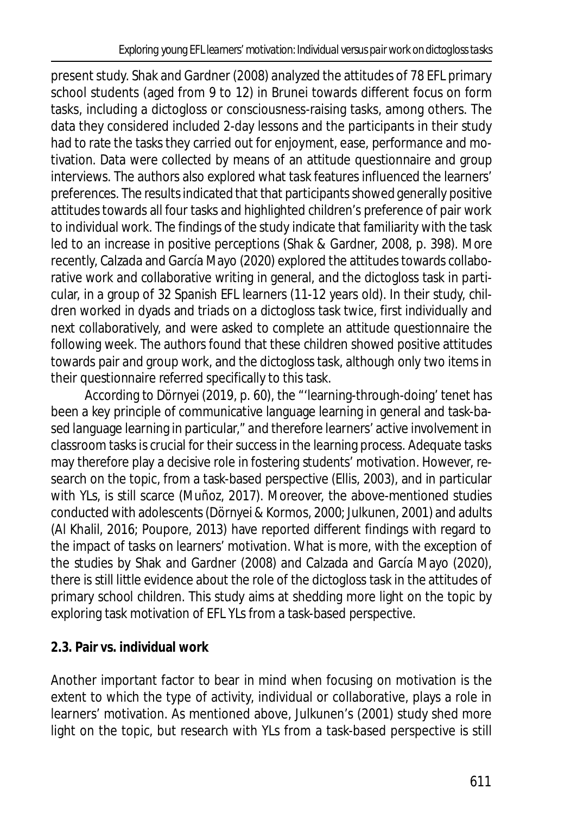present study. Shak and Gardner (2008) analyzed the attitudes of 78 EFL primary school students (aged from 9 to 12) in Brunei towards different focus on form tasks, including a dictogloss or consciousness-raising tasks, among others. The data they considered included 2-day lessons and the participants in their study had to rate the tasks they carried out for enjoyment, ease, performance and motivation. Data were collected by means of an attitude questionnaire and group interviews. The authors also explored what task features influenced the learners' preferences. The results indicated that that participants showed generally positive attitudes towards all four tasks and highlighted children's preference of pair work to individual work. The findings of the study indicate that familiarity with the task led to an increase in positive perceptions (Shak & Gardner, 2008, p. 398). More recently, Calzada and García Mayo (2020) explored the attitudes towards collaborative work and collaborative writing in general, and the dictogloss task in particular, in a group of 32 Spanish EFL learners (11-12 years old). In their study, children worked in dyads and triads on a dictogloss task twice, first individually and next collaboratively, and were asked to complete an attitude questionnaire the following week. The authors found that these children showed positive attitudes towards pair and group work, and the dictogloss task, although only two items in their questionnaire referred specifically to this task.

According to Dörnyei (2019, p. 60), the "'learning-through-doing' tenet has been a key principle of communicative language learning in general and task-based language learning in particular," and therefore learners' active involvement in classroom tasks is crucial for their success in the learning process. Adequate tasks may therefore play a decisive role in fostering students' motivation. However, research on the topic, from a task-based perspective (Ellis, 2003), and in particular with YLs, is still scarce (Muñoz, 2017). Moreover, the above-mentioned studies conducted with adolescents (Dörnyei & Kormos, 2000; Julkunen, 2001) and adults (Al Khalil, 2016; Poupore, 2013) have reported different findings with regard to the impact of tasks on learners' motivation. What is more, with the exception of the studies by Shak and Gardner (2008) and Calzada and García Mayo (2020), there is still little evidence about the role of the dictogloss task in the attitudes of primary school children. This study aims at shedding more light on the topic by exploring task motivation of EFL YLs from a task-based perspective.

# **2.3. Pair vs. individual work**

Another important factor to bear in mind when focusing on motivation is the extent to which the type of activity, individual or collaborative, plays a role in learners' motivation. As mentioned above, Julkunen's (2001) study shed more light on the topic, but research with YLs from a task-based perspective is still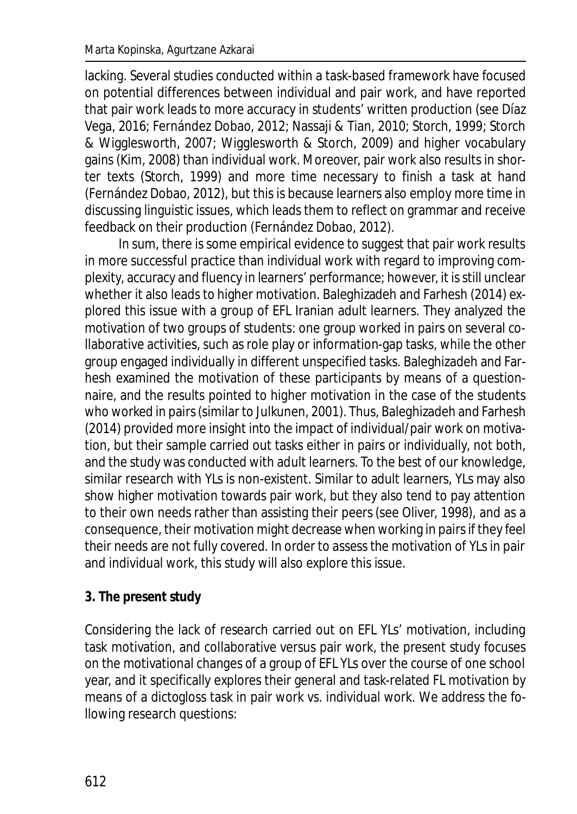lacking. Several studies conducted within a task-based framework have focused on potential differences between individual and pair work, and have reported that pair work leads to more accuracy in students' written production (see Díaz Vega, 2016; Fernández Dobao, 2012; Nassaji & Tian, 2010; Storch, 1999; Storch & Wigglesworth, 2007; Wigglesworth & Storch, 2009) and higher vocabulary gains (Kim, 2008) than individual work. Moreover, pair work also results in shorter texts (Storch, 1999) and more time necessary to finish a task at hand (Fernández Dobao, 2012), but this is because learners also employ more time in discussing linguistic issues, which leads them to reflect on grammar and receive feedback on their production (Fernández Dobao, 2012).

In sum, there is some empirical evidence to suggest that pair work results in more successful practice than individual work with regard to improving complexity, accuracy and fluency in learners' performance; however, it is still unclear whether it also leads to higher motivation. Baleghizadeh and Farhesh (2014) explored this issue with a group of EFL Iranian adult learners. They analyzed the motivation of two groups of students: one group worked in pairs on several collaborative activities, such as role play or information-gap tasks, while the other group engaged individually in different unspecified tasks. Baleghizadeh and Farhesh examined the motivation of these participants by means of a questionnaire, and the results pointed to higher motivation in the case of the students who worked in pairs (similar to Julkunen, 2001). Thus, Baleghizadeh and Farhesh (2014) provided more insight into the impact of individual/pair work on motivation, but their sample carried out tasks either in pairs or individually, not both, and the study was conducted with adult learners. To the best of our knowledge, similar research with YLs is non-existent. Similar to adult learners, YLs may also show higher motivation towards pair work, but they also tend to pay attention to their own needs rather than assisting their peers (see Oliver, 1998), and as a consequence, their motivation might decrease when working in pairs if they feel their needs are not fully covered. In order to assess the motivation of YLs in pair and individual work, this study will also explore this issue.

### **3. The present study**

Considering the lack of research carried out on EFL YLs' motivation, including task motivation, and collaborative versus pair work, the present study focuses on the motivational changes of a group of EFL YLs over the course of one school year, and it specifically explores their general and task-related FL motivation by means of a dictogloss task in pair work vs. individual work. We address the following research questions: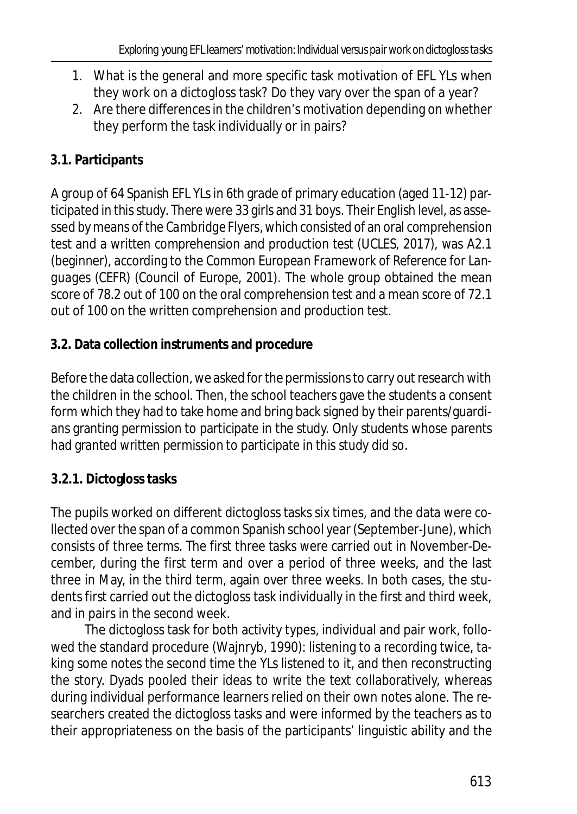- 1. What is the general and more specific task motivation of EFL YLs when they work on a dictogloss task? Do they vary over the span of a year?
- 2. Are there differences in the children's motivation depending on whether they perform the task individually or in pairs?

# **3.1. Participants**

A group of 64 Spanish EFL YLs in 6th grade of primary education (aged 11-12) participated in this study. There were 33 girls and 31 boys. Their English level, as assessed by means of the *Cambridge Flyers*, which consisted of an oral comprehension test and a written comprehension and production test (UCLES, 2017), was A2.1 (beginner), according to the *Common European Framework of Reference for Languages* (CEFR) (Council of Europe, 2001). The whole group obtained the mean score of 78.2 out of 100 on the oral comprehension test and a mean score of 72.1 out of 100 on the written comprehension and production test.

# **3.2. Data collection instruments and procedure**

Before the data collection, we asked for the permissions to carry out research with the children in the school. Then, the school teachers gave the students a consent form which they had to take home and bring back signed by their parents/guardians granting permission to participate in the study. Only students whose parents had granted written permission to participate in this study did so.

# **3.2.1. Dictogloss tasks**

The pupils worked on different dictogloss tasks six times, and the data were collected over the span of a common Spanish school year (September-June), which consists of three terms. The first three tasks were carried out in November-December, during the first term and over a period of three weeks, and the last three in May, in the third term, again over three weeks. In both cases, the students first carried out the dictogloss task individually in the first and third week, and in pairs in the second week.

The dictogloss task for both activity types, individual and pair work, followed the standard procedure (Wajnryb, 1990): listening to a recording twice, taking some notes the second time the YLs listened to it, and then reconstructing the story. Dyads pooled their ideas to write the text collaboratively, whereas during individual performance learners relied on their own notes alone. The researchers created the dictogloss tasks and were informed by the teachers as to their appropriateness on the basis of the participants' linguistic ability and the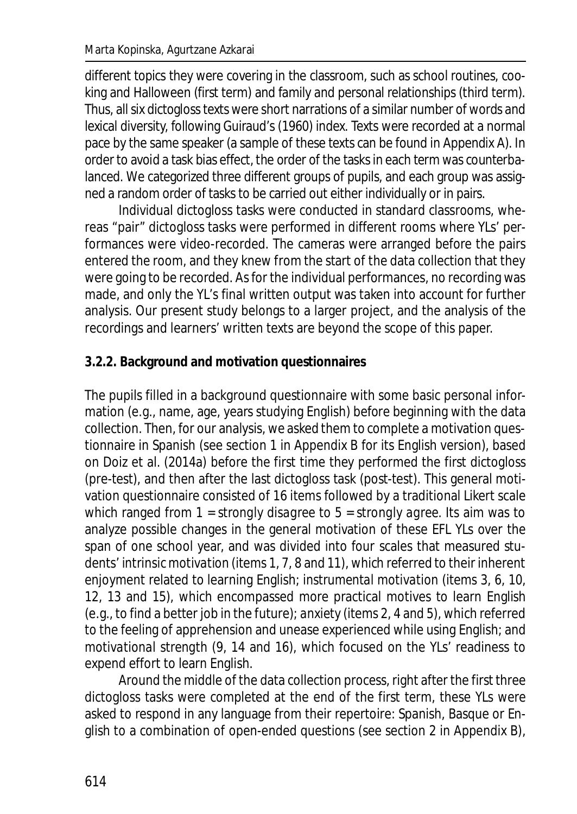different topics they were covering in the classroom, such as school routines, cooking and Halloween (first term) and family and personal relationships (third term). Thus, all six dictogloss texts were short narrations of a similar number of words and lexical diversity, following Guiraud's (1960) index. Texts were recorded at a normal pace by the same speaker (a sample of these texts can be found in Appendix A). In order to avoid a task bias effect, the order of the tasks in each term was counterbalanced. We categorized three different groups of pupils, and each group was assigned a random order of tasks to be carried out either individually or in pairs.

Individual dictogloss tasks were conducted in standard classrooms, whereas "pair" dictogloss tasks were performed in different rooms where YLs' performances were video-recorded. The cameras were arranged before the pairs entered the room, and they knew from the start of the data collection that they were going to be recorded. As for the individual performances, no recording was made, and only the YL's final written output was taken into account for further analysis. Our present study belongs to a larger project, and the analysis of the recordings and learners' written texts are beyond the scope of this paper.

### **3.2.2. Background and motivation questionnaires**

The pupils filled in a background questionnaire with some basic personal information (e.g., name, age, years studying English) before beginning with the data collection. Then, for our analysis, we asked them to complete a motivation questionnaire in Spanish (see section 1 in Appendix B for its English version), based on Doiz et al. (2014a) before the first time they performed the first dictogloss (pre-test), and then after the last dictogloss task (post-test). This general motivation questionnaire consisted of 16 items followed by a traditional Likert scale which ranged from 1 = *strongly disagree* to 5 = *strongly agree*. Its aim was to analyze possible changes in the general motivation of these EFL YLs over the span of one school year, and was divided into four scales that measured students' *intrinsic motivation* (items 1, 7, 8 and 11), which referred to their inherent enjoyment related to learning English; *instrumental motivation* (items 3, 6, 10, 12, 13 and 15), which encompassed more practical motives to learn English (e.g., to find a better job in the future); *anxiety* (items 2, 4 and 5), which referred to the feeling of apprehension and unease experienced while using English; and *motivational strength* (9, 14 and 16), which focused on the YLs' readiness to expend effort to learn English.

Around the middle of the data collection process, right after the first three dictogloss tasks were completed at the end of the first term, these YLs were asked to respond in any language from their repertoire: Spanish, Basque or English to a combination of open-ended questions (see section 2 in Appendix B),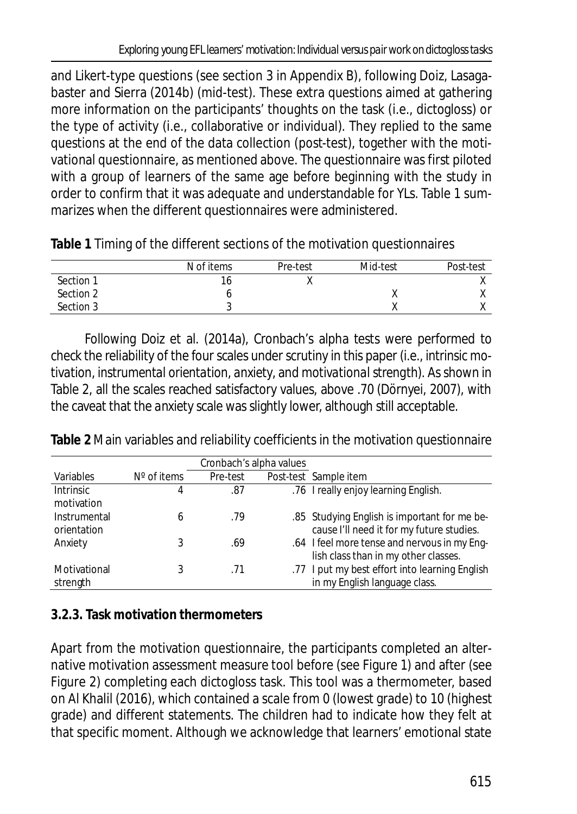and Likert-type questions (see section 3 in Appendix B), following Doiz, Lasagabaster and Sierra (2014b) (mid-test). These extra questions aimed at gathering more information on the participants' thoughts on the task (i.e., dictogloss) or the type of activity (i.e., collaborative or individual). They replied to the same questions at the end of the data collection (post-test), together with the motivational questionnaire, as mentioned above. The questionnaire was first piloted with a group of learners of the same age before beginning with the study in order to confirm that it was adequate and understandable for YLs. Table 1 summarizes when the different questionnaires were administered.

| Table 1 Timing of the different sections of the motivation questionnaires |
|---------------------------------------------------------------------------|
|                                                                           |

|           | N of items | Pre-test | Mid-test  | Post-test |
|-----------|------------|----------|-----------|-----------|
| Section 1 | ١o         |          |           |           |
| Section 2 |            |          | $\lambda$ |           |
| Section 3 | ັ          |          |           |           |

Following Doiz et al. (2014a), Cronbach's alpha tests were performed to check the reliability of the four scales under scrutiny in this paper (i.e., *intrinsic motivation*, *instrumental orientation*, *anxiety*, and *motivational strength*). As shown in Table 2, all the scales reached satisfactory values, above .70 (Dörnyei, 2007), with the caveat that the *anxiety* scale was slightly lower, although still acceptable.

**Table 2** Main variables and reliability coefficients in the motivation questionnaire

|                                |                      | Cronbach's alpha values |                                                                                           |
|--------------------------------|----------------------|-------------------------|-------------------------------------------------------------------------------------------|
| Variables                      | $N^{\circ}$ of items | Pre-test                | Post-test Sample item                                                                     |
| <b>Intrinsic</b><br>motivation | 4                    | .87                     | .76 I really enjoy learning English.                                                      |
| Instrumental<br>orientation    | 6                    | .79                     | .85 Studying English is important for me be-<br>cause I'll need it for my future studies. |
| Anxiety                        |                      | .69                     | .64 I feel more tense and nervous in my Eng-<br>lish class than in my other classes.      |
| Motivational<br>strength       |                      | .71                     | .77 I put my best effort into learning English<br>in my English language class.           |

# **3.2.3. Task motivation thermometers**

Apart from the motivation questionnaire, the participants completed an alternative motivation assessment measure tool before (see Figure 1) and after (see Figure 2) completing each dictogloss task. This tool was a thermometer, based on Al Khalil (2016), which contained a scale from 0 (lowest grade) to 10 (highest grade) and different statements. The children had to indicate how they felt at that specific moment. Although we acknowledge that learners' emotional state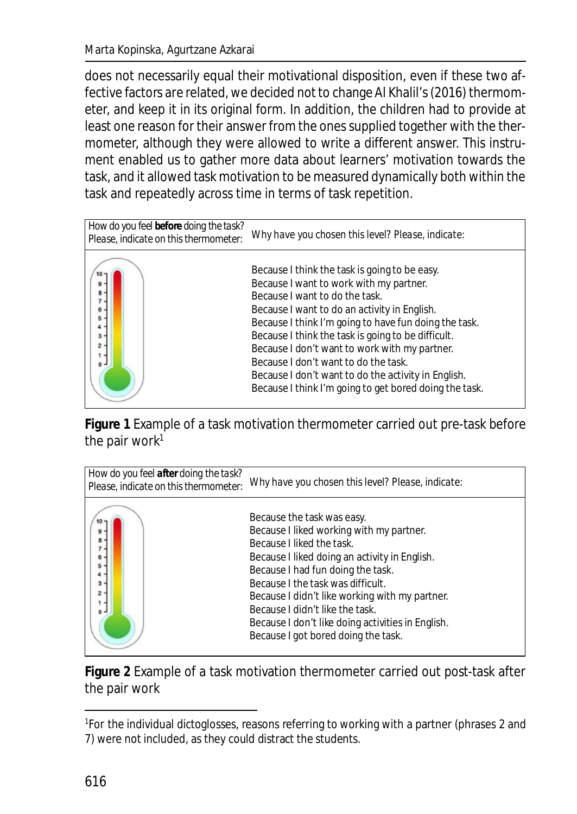does not necessarily equal their motivational disposition, even if these two affective factors are related, we decided not to change Al Khalil's (2016) thermometer, and keep it in its original form. In addition, the children had to provide at least one reason for their answer from the ones supplied together with the thermometer, although they were allowed to write a different answer. This instrument enabled us to gather more data about learners' motivation towards the task, and it allowed task motivation to be measured dynamically both within the task and repeatedly across time in terms of task repetition.



**Figure 1** Example of a task motivation thermometer carried out pre-task before the pair work $1$ 



**Figure 2** Example of a task motivation thermometer carried out post-task after the pair work

<sup>&</sup>lt;sup>1</sup>For the individual dictoglosses, reasons referring to working with a partner (phrases 2 and 7) were not included, as they could distract the students.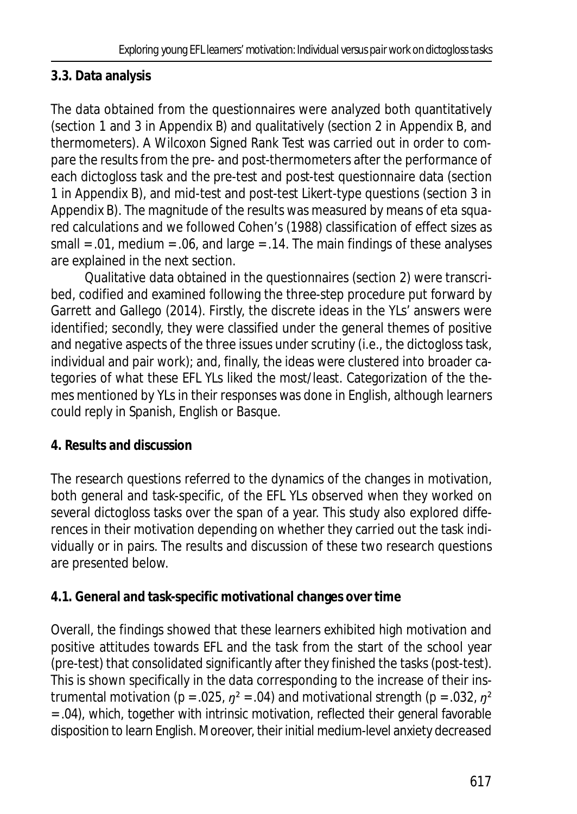# **3.3. Data analysis**

The data obtained from the questionnaires were analyzed both quantitatively (section 1 and 3 in Appendix B) and qualitatively (section 2 in Appendix B, and thermometers). A Wilcoxon Signed Rank Test was carried out in order to compare the results from the pre- and post-thermometers after the performance of each dictogloss task and the pre-test and post-test questionnaire data (section 1 in Appendix B), and mid-test and post-test Likert-type questions (section 3 in Appendix B). The magnitude of the results was measured by means of *eta squared* calculations and we followed Cohen's (1988) classification of effect sizes as small = .01, medium = .06, and large = .14. The main findings of these analyses are explained in the next section.

Qualitative data obtained in the questionnaires (section 2) were transcribed, codified and examined following the three-step procedure put forward by Garrett and Gallego (2014). Firstly, the discrete ideas in the YLs' answers were identified; secondly, they were classified under the general themes of positive and negative aspects of the three issues under scrutiny (i.e., the dictogloss task, individual and pair work); and, finally, the ideas were clustered into broader categories of what these EFL YLs liked the most/least. Categorization of the themes mentioned by YLs in their responses was done in English, although learners could reply in Spanish, English or Basque.

# **4. Results and discussion**

The research questions referred to the dynamics of the changes in motivation, both general and task-specific, of the EFL YLs observed when they worked on several dictogloss tasks over the span of a year. This study also explored differences in their motivation depending on whether they carried out the task individually or in pairs. The results and discussion of these two research questions are presented below.

# **4.1. General and task-specific motivational changes over time**

Overall, the findings showed that these learners exhibited high motivation and positive attitudes towards EFL and the task from the start of the school year (pre-test) that consolidated significantly after they finished the tasks (post-test). This is shown specifically in the data corresponding to the increase of their instrumental motivation (*p* = .025, *ŋ²* = .04) and motivational strength (*p* = .032, *ŋ²* = .04), which, together with intrinsic motivation, reflected their general favorable disposition to learn English. Moreover, their initial medium-level anxiety decreased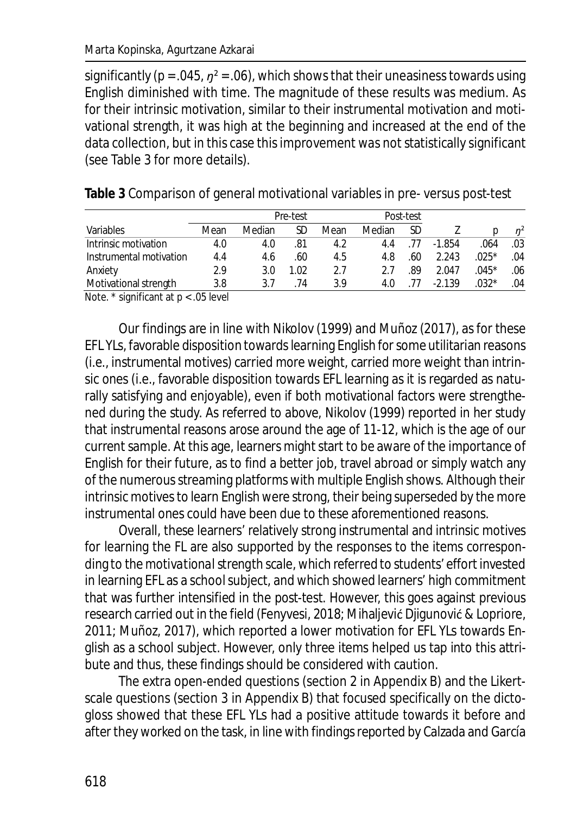significantly ( $p = .045$ ,  $p^2 = .06$ ), which shows that their uneasiness towards using English diminished with time. The magnitude of these results was medium. As for their intrinsic motivation, similar to their instrumental motivation and motivational strength, it was high at the beginning and increased at the end of the data collection, but in this case this improvement was not statistically significant (see Table 3 for more details).

|                         |      |        | Pre-test |      |        | Post-test |          |         |                |
|-------------------------|------|--------|----------|------|--------|-----------|----------|---------|----------------|
| Variables               | Mean | Median | SD       | Mean | Median | SD        |          |         | n <sup>2</sup> |
| Intrinsic motivation    | 4.0  | 4.0    | .81      | 4.2  | 4.4    |           | $-1.854$ | .064    | .03            |
| Instrumental motivation | 4.4  | 4.6    | .60      | 4.5  | 4.8    | .60       | 2.243    | $.025*$ | .04            |
| Anxiety                 | 2.9  | 3.0    | 1.02     | 27   | つフ     | .89       | 2.047    | $.045*$ | .06            |
| Motivational strength   | 3.8  | २ 7    | 74       | 3.9  | 4.0    |           | $-2.139$ | $.032*$ | .04            |

**Table 3** Comparison of general motivational variables in pre- versus post-test

*Note.* \* significant at *p* < .05 level

Our findings are in line with Nikolov (1999) and Muñoz (2017), as for these EFL YLs, favorable disposition towards learning English for some utilitarian reasons (i.e., instrumental motives) carried more weight, carried more weight than intrinsic ones (i.e., favorable disposition towards EFL learning as it is regarded as naturally satisfying and enjoyable), even if both motivational factors were strengthened during the study. As referred to above, Nikolov (1999) reported in her study that instrumental reasons arose around the age of 11-12, which is the age of our current sample. At this age, learners might start to be aware of the importance of English for their future, as to find a better job, travel abroad or simply watch any of the numerous streaming platforms with multiple English shows. Although their intrinsic motives to learn English were strong, their being superseded by the more instrumental ones could have been due to these aforementioned reasons.

Overall, these learners' relatively strong instrumental and intrinsic motives for learning the FL are also supported by the responses to the items corresponding to the *motivational strength* scale, which referred to students' effort invested in learning EFL as a school subject, and which showed learners' high commitment that was further intensified in the post-test. However, this goes against previous research carried out in the field (Fenyvesi, 2018; Mihaljević Djigunović & Lopriore, 2011; Muñoz, 2017), which reported a lower motivation for EFL YLs towards English as a school subject. However, only three items helped us tap into this attribute and thus, these findings should be considered with caution.

The extra open-ended questions (section 2 in Appendix B) and the Likertscale questions (section 3 in Appendix B) that focused specifically on the dictogloss showed that these EFL YLs had a positive attitude towards it before and after they worked on the task, in line with findings reported by Calzada and García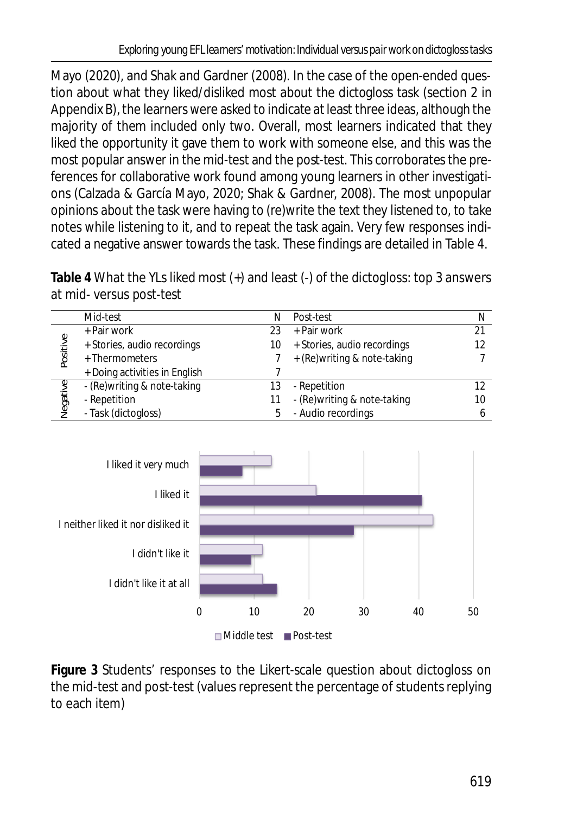Mayo (2020), and Shak and Gardner (2008). In the case of the open-ended question about what they liked/disliked most about the dictogloss task (section 2 in Appendix B), the learners were asked to indicate at least three ideas, although the majority of them included only two. Overall, most learners indicated that they liked the opportunity it gave them to work with someone else, and this was the most popular answer in the mid-test and the post-test. This corroborates the preferences for collaborative work found among young learners in other investigations (Calzada & García Mayo, 2020; Shak & Gardner, 2008). The most unpopular opinions about the task were having to (re)write the text they listened to, to take notes while listening to it, and to repeat the task again. Very few responses indicated a negative answer towards the task. These findings are detailed in Table 4.

**Table 4** What the YLs liked most (+) and least (-) of the dictogloss: top 3 answers at mid- versus post-test

|          | Mid-test                      | Ν  | Post-test                    | N  |
|----------|-------------------------------|----|------------------------------|----|
|          | + Pair work                   | 23 | + Pair work                  |    |
| Positive | + Stories, audio recordings   | 10 | + Stories, audio recordings  |    |
|          | + Thermometers                |    | + (Re) writing & note-taking |    |
|          | + Doing activities in English |    |                              |    |
|          | - (Re) writing & note-taking  |    | - Repetition                 |    |
| Negative | - Repetition                  |    | - (Re) writing & note-taking | 10 |
|          | - Task (dictogloss)           | 5  | - Audio recordings           |    |



**Figure 3** Students' responses to the Likert-scale question about dictogloss on the mid-test and post-test (values represent the percentage of students replying to each item)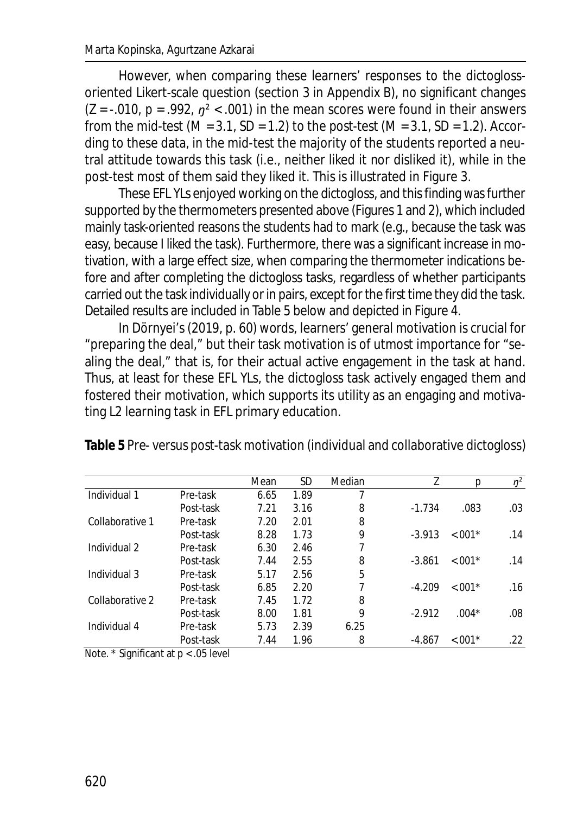However, when comparing these learners' responses to the dictoglossoriented Likert-scale question (section 3 in Appendix B), no significant changes  $(Z = -0.010, p = 0.992, n^2 < 0.001$  in the mean scores were found in their answers from the mid-test (*M* = 3.1, *SD* = 1.2) to the post-test (*M* = 3.1, *SD* = 1.2). According to these data, in the mid-test the majority of the students reported a neutral attitude towards this task (i.e., neither liked it nor disliked it), while in the post-test most of them said they liked it. This is illustrated in Figure 3.

These EFL YLs enjoyed working on the dictogloss, and this finding was further supported by the thermometers presented above (Figures 1 and 2), which included mainly task-oriented reasons the students had to mark (e.g., because the task was easy, because I liked the task). Furthermore, there was a significant increase in motivation, with a large effect size, when comparing the thermometer indications before and after completing the dictogloss tasks, regardless of whether participants carried out the task individually or in pairs, except for the first time they did the task. Detailed results are included in Table 5 below and depicted in Figure 4.

In Dörnyei's (2019, p. 60) words, learners' general motivation is crucial for "preparing the deal," but their task motivation is of utmost importance for "sealing the deal," that is, for their actual active engagement in the task at hand. Thus, at least for these EFL YLs, the dictogloss task actively engaged them and fostered their motivation, which supports its utility as an engaging and motivating L2 learning task in EFL primary education.

| Table 5 Pre- versus post-task motivation (individual and collaborative dictogloss) |  |
|------------------------------------------------------------------------------------|--|
|------------------------------------------------------------------------------------|--|

|                 |           | Mean | SD   | Median | Ζ        | р          | $\eta^2$ |
|-----------------|-----------|------|------|--------|----------|------------|----------|
| Individual 1    | Pre-task  | 6.65 | 1.89 |        |          |            |          |
|                 | Post-task | 7.21 | 3.16 | 8      | $-1.734$ | .083       | .03      |
| Collaborative 1 | Pre-task  | 7.20 | 2.01 | 8      |          |            |          |
|                 | Post-task | 8.28 | 1.73 | 9      | $-3.913$ | $< 0.01*$  | .14      |
| Individual 2    | Pre-task  | 6.30 | 2.46 |        |          |            |          |
|                 | Post-task | 7.44 | 2.55 | 8      | $-3.861$ | $< 0.01*$  | .14      |
| Individual 3    | Pre-task  | 5.17 | 2.56 | 5      |          |            |          |
|                 | Post-task | 6.85 | 2.20 | 7      | $-4.209$ | $< 0.01*$  | .16      |
| Collaborative 2 | Pre-task  | 7.45 | 1.72 | 8      |          |            |          |
|                 | Post-task | 8.00 | 1.81 | 9      | $-2.912$ | $.004*$    | .08      |
| Individual 4    | Pre-task  | 5.73 | 2.39 | 6.25   |          |            |          |
|                 | Post-task | 7.44 | 1.96 | 8      | -4.867   | $< 0.001*$ | .22      |

*Note.* \* Significant at *p* < .05 level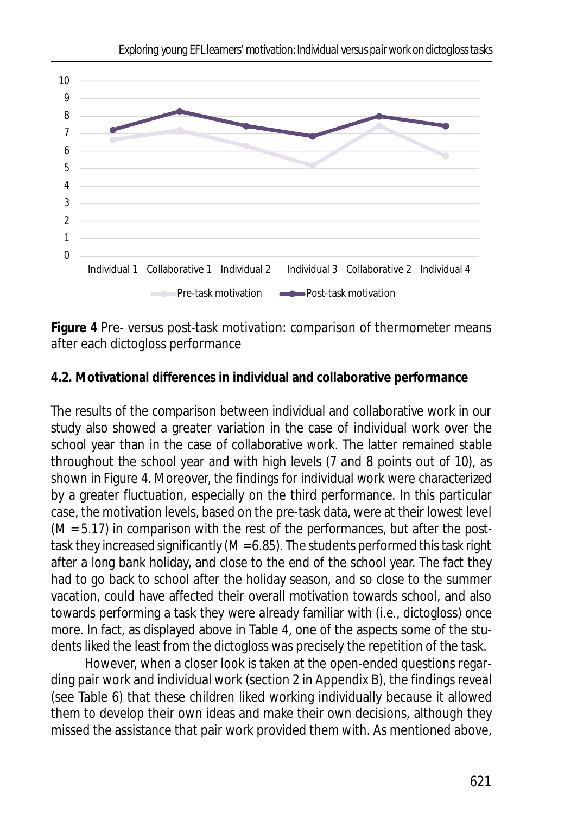

**Figure 4** Pre- versus post-task motivation: comparison of thermometer means after each dictogloss performance

### **4.2. Motivational differences in individual and collaborative performance**

The results of the comparison between individual and collaborative work in our study also showed a greater variation in the case of individual work over the school year than in the case of collaborative work. The latter remained stable throughout the school year and with high levels (7 and 8 points out of 10), as shown in Figure 4. Moreover, the findings for individual work were characterized by a greater fluctuation, especially on the third performance. In this particular case, the motivation levels, based on the pre-task data, were at their lowest level (*M* = 5.17) in comparison with the rest of the performances, but after the posttask they increased significantly (*M* = 6.85). The students performed this task right after a long bank holiday, and close to the end of the school year. The fact they had to go back to school after the holiday season, and so close to the summer vacation, could have affected their overall motivation towards school, and also towards performing a task they were already familiar with (i.e., dictogloss) once more. In fact, as displayed above in Table 4, one of the aspects some of the students liked the least from the dictogloss was precisely the repetition of the task.

However, when a closer look is taken at the open-ended questions regarding pair work and individual work (section 2 in Appendix B), the findings reveal (see Table 6) that these children liked working individually because it allowed them to develop their own ideas and make their own decisions, although they missed the assistance that pair work provided them with. As mentioned above,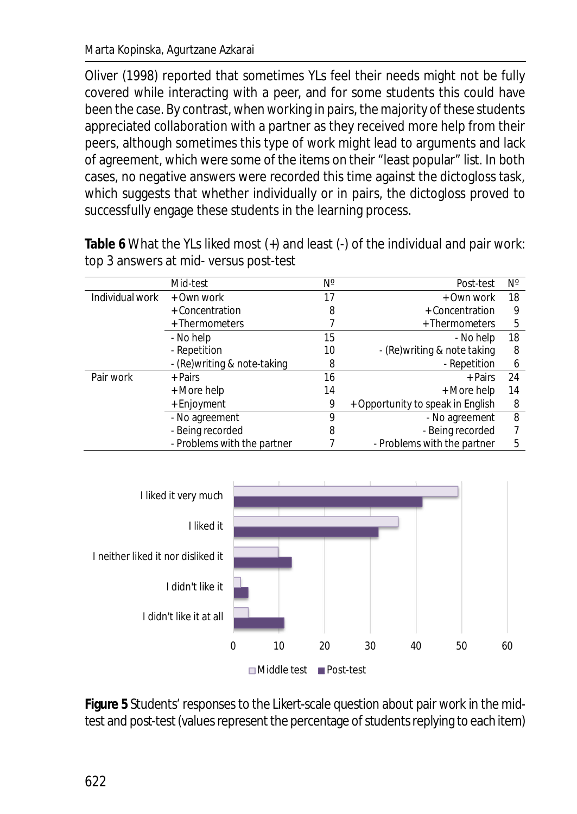Oliver (1998) reported that sometimes YLs feel their needs might not be fully covered while interacting with a peer, and for some students this could have been the case. By contrast, when working in pairs, the majority of these students appreciated collaboration with a partner as they received more help from their peers, although sometimes this type of work might lead to arguments and lack of agreement, which were some of the items on their "least popular" list. In both cases, no negative answers were recorded this time against the dictogloss task, which suggests that whether individually or in pairs, the dictogloss proved to successfully engage these students in the learning process.

|                 | Mid-test                     | Ν° | Post-test                         | Ν° |
|-----------------|------------------------------|----|-----------------------------------|----|
| Individual work | + Own work                   | 17 | + Own work                        | 18 |
|                 | + Concentration              | 8  | + Concentration                   | 9  |
|                 | + Thermometers               |    | + Thermometers                    | 5  |
|                 | - No help                    | 15 | - No help                         | 18 |
|                 | - Repetition                 | 10 | - (Re) writing & note taking      | 8  |
|                 | - (Re) writing & note-taking | 8  | - Repetition                      | 6  |
| Pair work       | + Pairs                      | 16 | + Pairs                           | 24 |
|                 | + More help                  | 14 | + More help                       | 14 |
|                 | + Enjoyment                  | 9  | + Opportunity to speak in English | 8  |
|                 | - No agreement               | 9  | - No agreement                    | 8  |
|                 | - Being recorded             | 8  | - Being recorded                  | 7  |
|                 | - Problems with the partner  |    | - Problems with the partner       | 5  |

**Table 6** What the YLs liked most (+) and least (-) of the individual and pair work: top 3 answers at mid- versus post-test



**Figure 5** Students' responses to the Likert-scale question about pair work in the midtest and post-test (values represent the percentage of students replying to each item)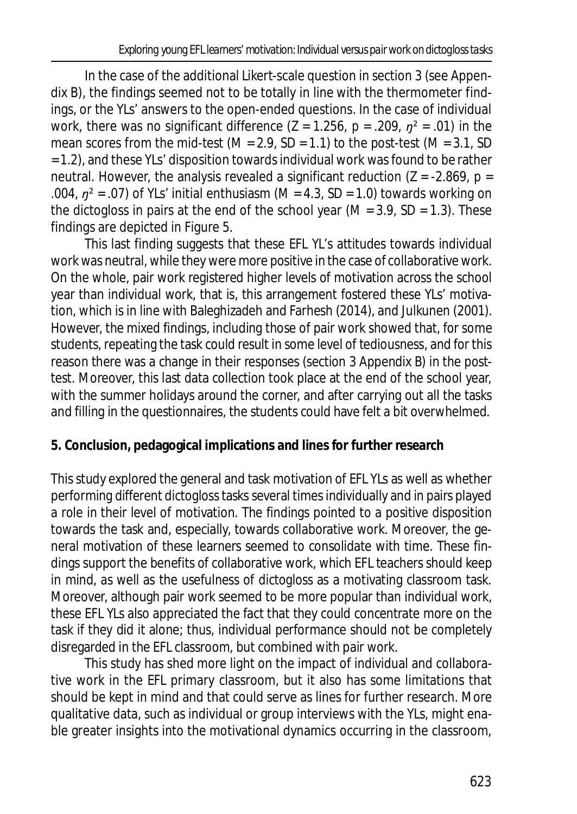In the case of the additional Likert-scale question in section 3 (see Appendix B), the findings seemed not to be totally in line with the thermometer findings, or the YLs' answers to the open-ended questions. In the case of individual work, there was no significant difference ( $Z = 1.256$ ,  $p = .209$ ,  $p^2 = .01$ ) in the mean scores from the mid-test (*M* = 2.9, *SD* = 1.1) to the post-test (*M* = 3.1, *SD* = 1.2), and these YLs' disposition towards individual work was found to be rather neutral. However, the analysis revealed a significant reduction (*Z* = -2.869, *p* = .004, *ŋ²* = .07) of YLs' initial enthusiasm (*M* = 4.3, *SD* = 1.0) towards working on the dictogloss in pairs at the end of the school year (*M* = 3.9, *SD* = 1.3). These findings are depicted in Figure 5.

This last finding suggests that these EFL YL's attitudes towards individual work was neutral, while they were more positive in the case of collaborative work. On the whole, pair work registered higher levels of motivation across the school year than individual work, that is, this arrangement fostered these YLs' motivation, which is in line with Baleghizadeh and Farhesh (2014), and Julkunen (2001). However, the mixed findings, including those of pair work showed that, for some students, repeating the task could result in some level of tediousness, and for this reason there was a change in their responses (section 3 Appendix B) in the posttest. Moreover, this last data collection took place at the end of the school year, with the summer holidays around the corner, and after carrying out all the tasks and filling in the questionnaires, the students could have felt a bit overwhelmed.

### **5. Conclusion, pedagogical implications and lines for further research**

This study explored the general and task motivation of EFL YLs as well as whether performing different dictogloss tasks several times individually and in pairs played a role in their level of motivation. The findings pointed to a positive disposition towards the task and, especially, towards collaborative work. Moreover, the general motivation of these learners seemed to consolidate with time. These findings support the benefits of collaborative work, which EFL teachers should keep in mind, as well as the usefulness of dictogloss as a motivating classroom task. Moreover, although pair work seemed to be more popular than individual work, these EFL YLs also appreciated the fact that they could concentrate more on the task if they did it alone; thus, individual performance should not be completely disregarded in the EFL classroom, but combined with pair work.

This study has shed more light on the impact of individual and collaborative work in the EFL primary classroom, but it also has some limitations that should be kept in mind and that could serve as lines for further research. More qualitative data, such as individual or group interviews with the YLs, might enable greater insights into the motivational dynamics occurring in the classroom,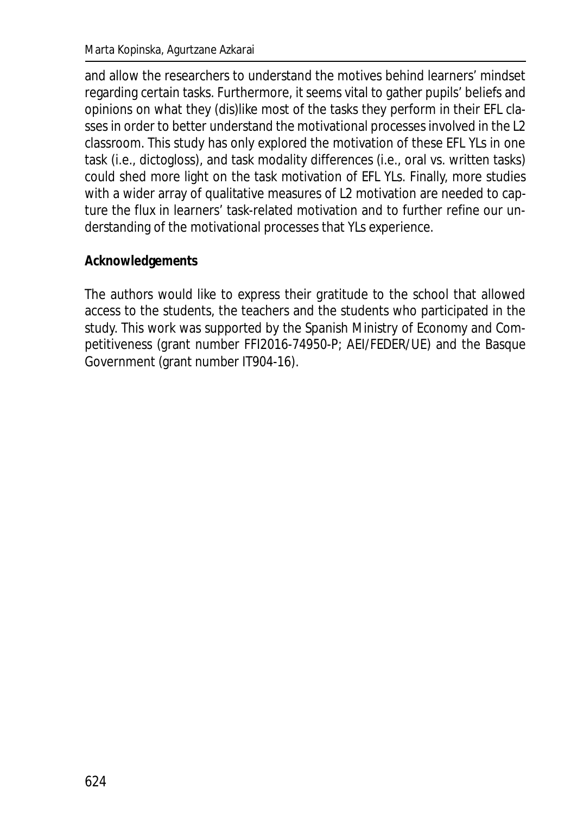and allow the researchers to understand the motives behind learners' mindset regarding certain tasks. Furthermore, it seems vital to gather pupils' beliefs and opinions on what they (dis)like most of the tasks they perform in their EFL classes in order to better understand the motivational processes involved in the L2 classroom. This study has only explored the motivation of these EFL YLs in one task (i.e., dictogloss), and task modality differences (i.e., oral vs. written tasks) could shed more light on the task motivation of EFL YLs. Finally, more studies with a wider array of qualitative measures of L2 motivation are needed to capture the flux in learners' task-related motivation and to further refine our understanding of the motivational processes that YLs experience.

### **Acknowledgements**

The authors would like to express their gratitude to the school that allowed access to the students, the teachers and the students who participated in the study. This work was supported by the Spanish Ministry of Economy and Competitiveness (grant number FFI2016-74950-P; AEI/FEDER/UE) and the Basque Government (grant number IT904-16).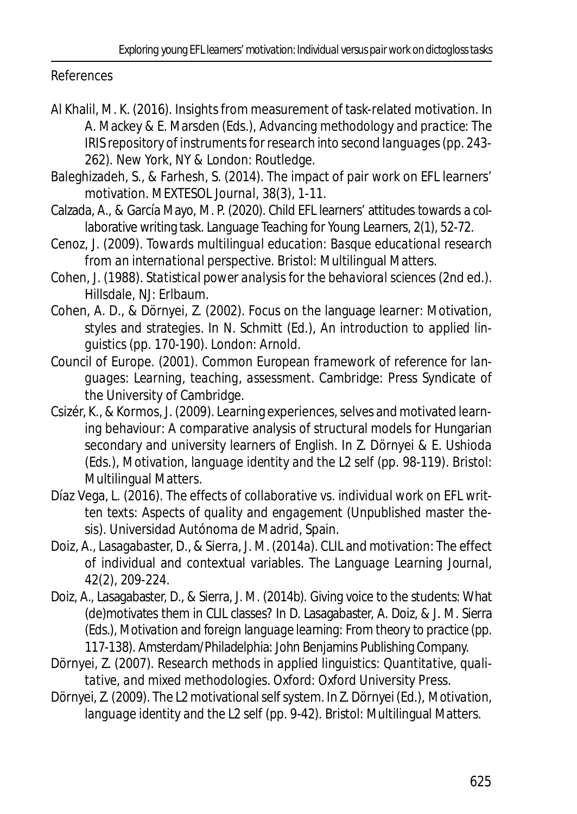References

- Al Khalil, M. K. (2016). Insights from measurement of task-related motivation. In A. Mackey & E. Marsden (Eds.), *Advancing methodology and practice: The IRIS repository of instruments for research into second languages* (pp. 243- 262). New York, NY & London: Routledge.
- Baleghizadeh, S., & Farhesh, S. (2014). The impact of pair work on EFL learners' motivation. *MEXTESOL Journal, 38*(3), 1-11.
- Calzada, A., & García Mayo, M. P. (2020). Child EFL learners' attitudes towards a collaborative writing task. *Language Teaching for Young Learners, 2*(1), 52-72.
- Cenoz, J. (2009). *Towards multilingual education: Basque educational research from an international perspective*. Bristol: Multilingual Matters.
- Cohen, J. (1988). *Statistical power analysis for the behavioral sciences* (2nd ed.). Hillsdale, NJ: Erlbaum.
- Cohen, A. D., & Dörnyei, Z. (2002). Focus on the language learner: Motivation, styles and strategies. In N. Schmitt (Ed.), *An introduction to applied linguistics* (pp. 170-190). London: Arnold.
- Council of Europe. (2001). *Common European framework of reference for languages: Learning, teaching, assessment*. Cambridge: Press Syndicate of the University of Cambridge.
- Csizér, K., & Kormos, J. (2009). Learning experiences, selves and motivated learning behaviour: A comparative analysis of structural models for Hungarian secondary and university learners of English. In Z. Dörnyei & E. Ushioda (Eds.), *Motivation, language identity and the L2 self* (pp. 98-119). Bristol: Multilingual Matters.
- Díaz Vega, L. (2016). *The effects of collaborative vs. individual work on EFL written texts: Aspects of quality and engagement* (Unpublished master thesis). Universidad Autónoma de Madrid, Spain.
- Doiz, A., Lasagabaster, D., & Sierra, J. M. (2014a). CLIL and motivation: The effect of individual and contextual variables. *The Language Learning Journal*, *42*(2), 209-224.
- Doiz, A., Lasagabaster, D., & Sierra, J. M. (2014b). Giving voice to the students: What (de)motivates them in CLIL classes? In D. Lasagabaster, A. Doiz, & J. M. Sierra (Eds.), *Motivation and foreign language learning: From theory to practice* (pp. 117-138). Amsterdam/Philadelphia: John Benjamins Publishing Company.
- Dörnyei, Z. (2007). *Research methods in applied linguistics: Quantitative, qualitative, and mixed methodologies*. Oxford: Oxford University Press.
- Dörnyei, Z. (2009). The L2 motivational self system. In Z. Dörnyei (Ed.), *Motivation, language identity and the L2 self* (pp. 9-42). Bristol: Multilingual Matters.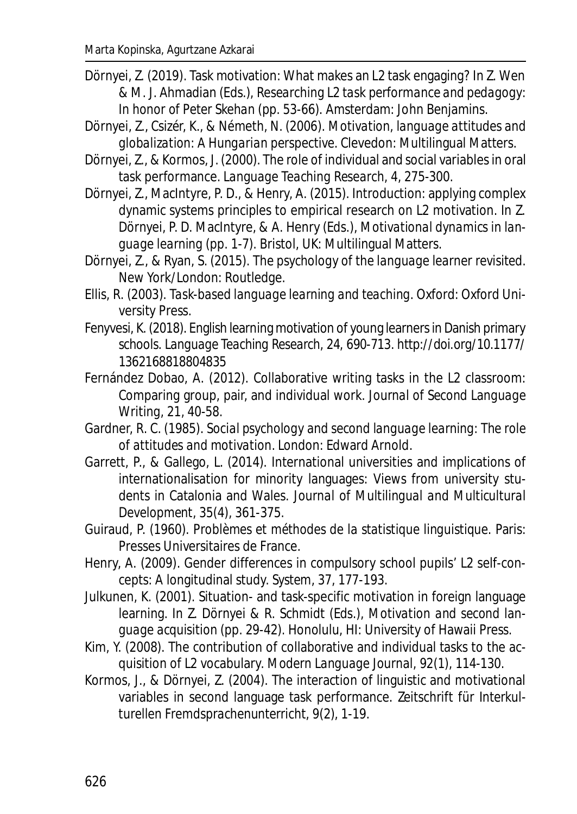- Dörnyei, Z. (2019). Task motivation: What makes an L2 task engaging? In Z. Wen & M. J. Ahmadian (Eds.), *Researching L2 task performance and pedagogy: In honor of Peter Skehan* (pp. 53-66). Amsterdam: John Benjamins.
- Dörnyei, Z., Csizér, K., & Németh, N. (2006). *Motivation, language attitudes and globalization: A Hungarian perspective.* Clevedon: Multilingual Matters.
- Dörnyei, Z., & Kormos, J. (2000). The role of individual and social variables in oral task performance. *Language Teaching Research*, *4*, 275-300.
- Dörnyei, Z., MacIntyre, P. D., & Henry, A. (2015). Introduction: applying complex dynamic systems principles to empirical research on L2 motivation. In Z. Dörnyei, P. D. MacIntyre, & A. Henry (Eds.), *Motivational dynamics in language learning* (pp. 1-7). Bristol, UK: Multilingual Matters.
- Dörnyei, Z., & Ryan, S. (2015). *The psychology of the language learner revisited*. New York/London: Routledge.
- Ellis, R. (2003). *Task-based language learning and teaching*. Oxford: Oxford University Press.
- Fenyvesi, K. (2018). English learning motivation of young learners in Danish primary schools. *Language Teaching Research, 24,* 690-713. http://doi.org/10.1177/ 1362168818804835
- Fernández Dobao, A. (2012). Collaborative writing tasks in the L2 classroom: Comparing group, pair, and individual work. *Journal of Second Language Writing, 21,* 40-58.
- Gardner, R. C. (1985). *Social psychology and second language learning: The role of attitudes and motivation*. London: Edward Arnold.
- Garrett, P., & Gallego, L. (2014). International universities and implications of internationalisation for minority languages: Views from university students in Catalonia and Wales. *Journal of Multilingual and Multicultural Development*, *35*(4), 361-375.
- Guiraud, P. (1960). *Problèmes et méthodes de la statistique linguistique*. Paris: Presses Universitaires de France.
- Henry, A. (2009). Gender differences in compulsory school pupils' L2 self-concepts: A longitudinal study. *System*, *37*, 177-193.
- Julkunen, K. (2001). Situation- and task-specific motivation in foreign language learning. In Z. Dörnyei & R. Schmidt (Eds.), *Motivation and second language acquisition* (pp. 29-42). Honolulu, HI: University of Hawaii Press.
- Kim, Y. (2008). The contribution of collaborative and individual tasks to the acquisition of L2 vocabulary. *Modern Language Journal, 92(1),* 114-130.
- Kormos, J., & Dörnyei, Z. (2004). The interaction of linguistic and motivational variables in second language task performance. *Zeitschrift für Interkulturellen Fremdsprachenunterricht*, *9*(2), 1-19.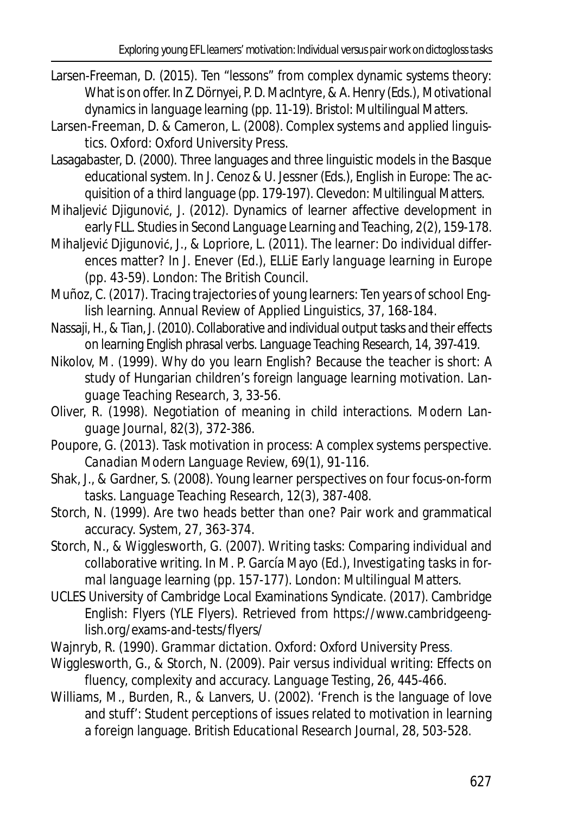- Larsen-Freeman, D. (2015). Ten "lessons" from complex dynamic systems theory: What is on offer. In Z. Dörnyei, P. D. MacIntyre, & A. Henry (Eds.), *Motivational dynamics in language learning* (pp. 11-19). Bristol: Multilingual Matters.
- Larsen-Freeman, D. & Cameron, L. (2008). *Complex systems and applied linguistics*. Oxford: Oxford University Press.
- Lasagabaster, D. (2000). Three languages and three linguistic models in the Basque educational system. In J. Cenoz & U. Jessner (Eds.), *English in Europe: The acquisition of a third language* (pp. 179-197). Clevedon: Multilingual Matters.
- Mihaljević Djigunović, J. (2012). Dynamics of learner affective development in early FLL. *Studies in Second Language Learning and Teaching, 2*(2), 159-178.
- Mihaljević Djigunović, J., & Lopriore, L. (2011). The learner: Do individual differences matter? In J. Enever (Ed.), *ELLiE Early language learning in Europe* (pp. 43-59). London: The British Council.
- Muñoz, C. (2017). Tracing trajectories of young learners: Ten years of school English learning. *Annual Review of Applied Linguistics*, *37*, 168-184.
- Nassaji, H., & Tian, J. (2010). Collaborative and individual output tasks and their effects on learning English phrasal verbs. *Language Teaching Research, 14*, 397-419.
- Nikolov, M. (1999). Why do you learn English? Because the teacher is short: A study of Hungarian children's foreign language learning motivation. *Language Teaching Research, 3,* 33-56.
- Oliver, R. (1998). Negotiation of meaning in child interactions. *Modern Language Journal, 82(3),* 372-386.
- Poupore, G. (2013). Task motivation in process: A complex systems perspective. *Canadian Modern Language Review, 69*(1), 91-116.
- Shak, J., & Gardner, S. (2008). Young learner perspectives on four focus-on-form tasks. *Language Teaching Research*, *12*(3), 387-408.
- Storch, N. (1999). Are two heads better than one? Pair work and grammatical accuracy. *System, 27,* 363-374.
- Storch, N., & Wigglesworth, G. (2007). Writing tasks: Comparing individual and collaborative writing. In M. P. García Mayo (Ed.), *Investigating tasks in formal language learning* (pp. 157-177). London: Multilingual Matters.
- UCLES University of Cambridge Local Examinations Syndicate. (2017). Cambridge English: Flyers (YLE Flyers). Retrieved from https://www.cambridgeenglish.org/exams-and-tests/flyers/
- Wajnryb, R. (1990). *Grammar dictation*. Oxford: Oxford University Press.
- Wigglesworth, G., & Storch, N. (2009). Pair versus individual writing: Effects on fluency, complexity and accuracy. *Language Testing, 26,* 445-466.
- Williams, M., Burden, R., & Lanvers, U. (2002). 'French is the language of love and stuff': Student perceptions of issues related to motivation in learning a foreign language. *British Educational Research Journal*, *28*, 503-528.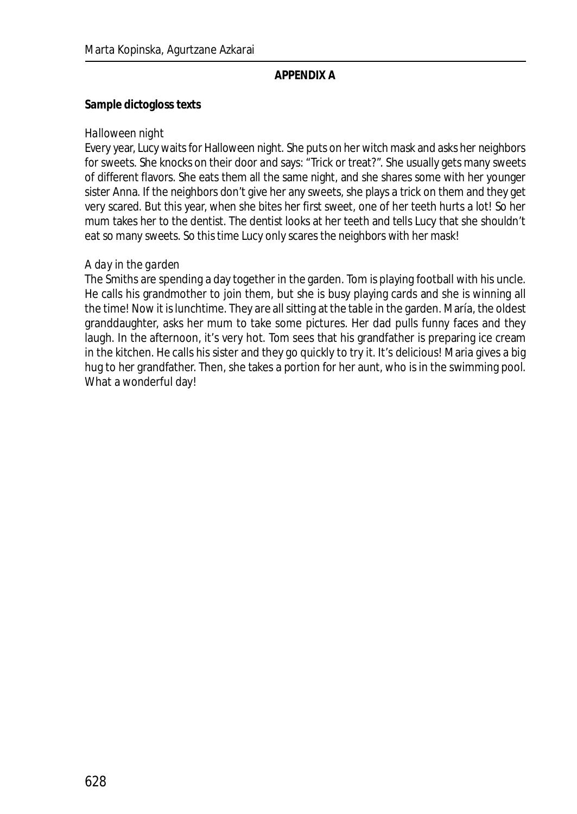#### **APPENDIX A**

**Sample dictogloss texts**

#### *Halloween night*

Every year, Lucy waits for Halloween night. She puts on her witch mask and asks her neighbors for sweets. She knocks on their door and says: "Trick or treat?". She usually gets many sweets of different flavors. She eats them all the same night, and she shares some with her younger sister Anna. If the neighbors don't give her any sweets, she plays a trick on them and they get very scared. But this year, when she bites her first sweet, one of her teeth hurts a lot! So her mum takes her to the dentist. The dentist looks at her teeth and tells Lucy that she shouldn't eat so many sweets. So this time Lucy only scares the neighbors with her mask!

#### *A day in the garden*

The Smiths are spending a day together in the garden. Tom is playing football with his uncle. He calls his grandmother to join them, but she is busy playing cards and she is winning all the time! Now it is lunchtime. They are all sitting at the table in the garden. María, the oldest granddaughter, asks her mum to take some pictures. Her dad pulls funny faces and they laugh. In the afternoon, it's very hot. Tom sees that his grandfather is preparing ice cream in the kitchen. He calls his sister and they go quickly to try it. It's delicious! Maria gives a big hug to her grandfather. Then, she takes a portion for her aunt, who is in the swimming pool. What a wonderful day!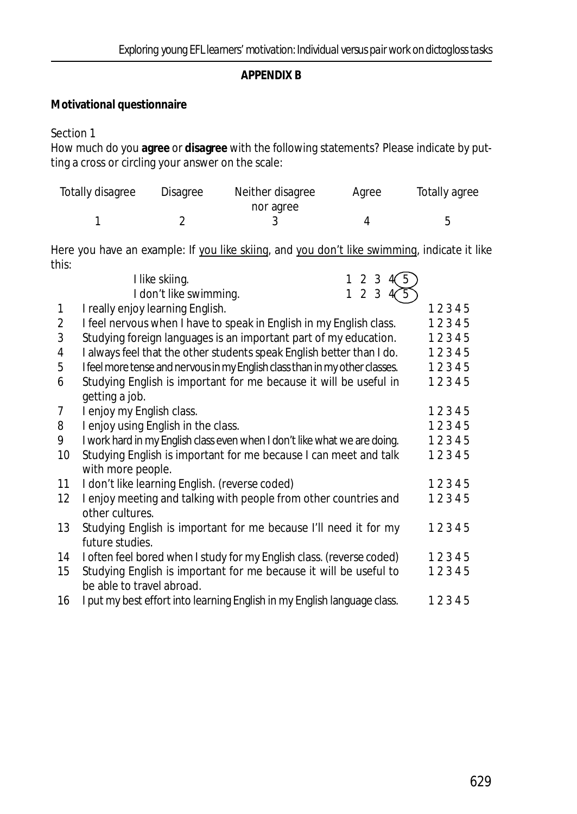#### **APPENDIX B**

**Motivational questionnaire**

Section 1

How much do you **agree** or **disagree** with the following statements? Please indicate by putting a cross or circling your answer on the scale:

| Totally disagree | Disagree | Neither disagree | Agree | Totally agree |
|------------------|----------|------------------|-------|---------------|
|                  |          | nor agree        |       |               |
|                  |          |                  |       |               |

Here you have an example: If you like skiing, and you don't like swimming, indicate it like this:

|    | 123<br>5<br>I like skiing.                                                  |       |
|----|-----------------------------------------------------------------------------|-------|
|    | 123<br>I don't like swimming.                                               |       |
| 1  | I really enjoy learning English.                                            | 12345 |
| 2  | I feel nervous when I have to speak in English in my English class.         | 12345 |
| 3  | Studying foreign languages is an important part of my education.            | 12345 |
| 4  | I always feel that the other students speak English better than I do.       | 12345 |
| 5  | I feel more tense and nervous in my English class than in my other classes. | 12345 |
| 6  | Studying English is important for me because it will be useful in           | 12345 |
|    | getting a job.                                                              |       |
| 7  | I enjoy my English class.                                                   | 12345 |
| 8  | I enjoy using English in the class.                                         | 12345 |
| 9  | I work hard in my English class even when I don't like what we are doing.   | 12345 |
| 10 | Studying English is important for me because I can meet and talk            | 12345 |
|    | with more people.                                                           |       |
| 11 | I don't like learning English. (reverse coded)                              | 12345 |
| 12 | I enjoy meeting and talking with people from other countries and            | 12345 |
|    | other cultures.                                                             |       |
| 13 | Studying English is important for me because I'll need it for my            | 12345 |
|    | future studies.                                                             |       |
| 14 | I often feel bored when I study for my English class. (reverse coded)       | 12345 |
| 15 | Studying English is important for me because it will be useful to           | 12345 |
|    | be able to travel abroad.                                                   |       |
| 16 | I put my best effort into learning English in my English language class.    | 12345 |